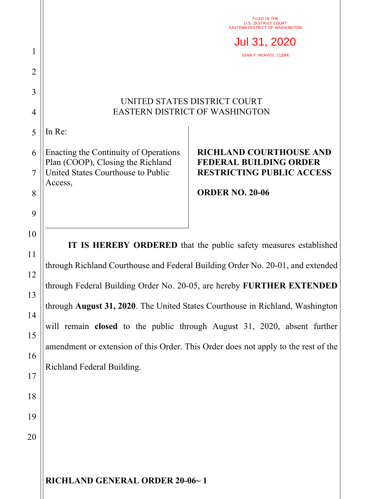|                |                                                                                    | FILED IN THE<br><b>U.S. DISTRICT COURT</b><br><b>EASTERN DISTRICT OF WASHINGTON</b> |
|----------------|------------------------------------------------------------------------------------|-------------------------------------------------------------------------------------|
| 1              |                                                                                    | Jul 31, 2020<br>SEAN F. MCAVOY, CLERK                                               |
| $\overline{2}$ |                                                                                    |                                                                                     |
| 3              | UNITED STATES DISTRICT COURT                                                       |                                                                                     |
| $\overline{4}$ | <b>EASTERN DISTRICT OF WASHINGTON</b>                                              |                                                                                     |
| 5              | In Re:                                                                             |                                                                                     |
| 6              | Enacting the Continuity of Operations<br>Plan (COOP), Closing the Richland         | <b>RICHLAND COURTHOUSE AND</b><br><b>FEDERAL BUILDING ORDER</b>                     |
| $\overline{7}$ | United States Courthouse to Public<br>Access,                                      | <b>RESTRICTING PUBLIC ACCESS</b>                                                    |
| 8              |                                                                                    | <b>ORDER NO. 20-06</b>                                                              |
| 9              |                                                                                    |                                                                                     |
| 10<br>11       | IT IS HEREBY ORDERED that the public safety measures established                   |                                                                                     |
|                | through Richland Courthouse and Federal Building Order No. 20-01, and extended     |                                                                                     |
| 12<br>13       | through Federal Building Order No. 20-05, are hereby FURTHER EXTENDED              |                                                                                     |
| 14             | through August 31, 2020. The United States Courthouse in Richland, Washington      |                                                                                     |
| 15             | will remain closed to the public through August 31, 2020, absent further           |                                                                                     |
| 16             | amendment or extension of this Order. This Order does not apply to the rest of the |                                                                                     |
| 17             | Richland Federal Building.                                                         |                                                                                     |
| 18             |                                                                                    |                                                                                     |
|                |                                                                                    |                                                                                     |
| 19             |                                                                                    |                                                                                     |
| 20             |                                                                                    |                                                                                     |
|                |                                                                                    |                                                                                     |

**RICHLAND GENERAL ORDER 20-06~ 1**